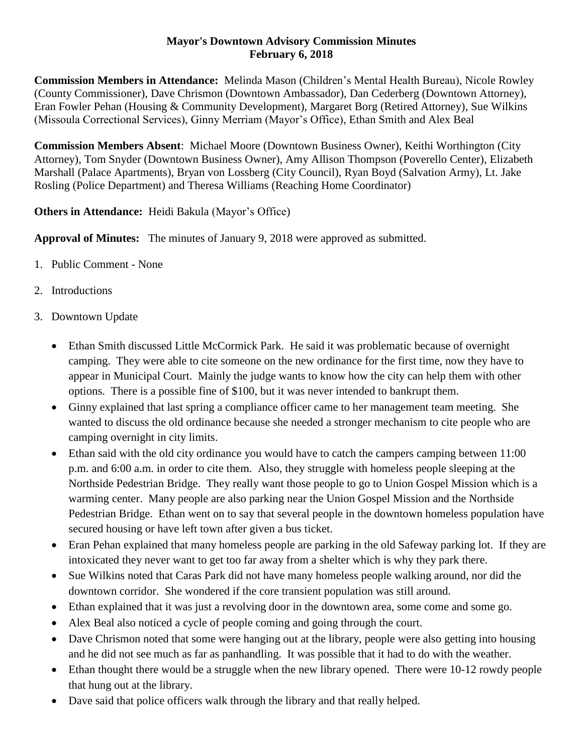## **Mayor's Downtown Advisory Commission Minutes February 6, 2018**

**Commission Members in Attendance:** Melinda Mason (Children's Mental Health Bureau), Nicole Rowley (County Commissioner), Dave Chrismon (Downtown Ambassador), Dan Cederberg (Downtown Attorney), Eran Fowler Pehan (Housing & Community Development), Margaret Borg (Retired Attorney), Sue Wilkins (Missoula Correctional Services), Ginny Merriam (Mayor's Office), Ethan Smith and Alex Beal

**Commission Members Absent**: Michael Moore (Downtown Business Owner), Keithi Worthington (City Attorney), Tom Snyder (Downtown Business Owner), Amy Allison Thompson (Poverello Center), Elizabeth Marshall (Palace Apartments), Bryan von Lossberg (City Council), Ryan Boyd (Salvation Army), Lt. Jake Rosling (Police Department) and Theresa Williams (Reaching Home Coordinator)

**Others in Attendance:** Heidi Bakula (Mayor's Office)

**Approval of Minutes:** The minutes of January 9, 2018 were approved as submitted.

- 1. Public Comment None
- 2. Introductions
- 3. Downtown Update
	- Ethan Smith discussed Little McCormick Park. He said it was problematic because of overnight camping. They were able to cite someone on the new ordinance for the first time, now they have to appear in Municipal Court. Mainly the judge wants to know how the city can help them with other options. There is a possible fine of \$100, but it was never intended to bankrupt them.
	- Ginny explained that last spring a compliance officer came to her management team meeting. She wanted to discuss the old ordinance because she needed a stronger mechanism to cite people who are camping overnight in city limits.
	- Ethan said with the old city ordinance you would have to catch the campers camping between 11:00 p.m. and 6:00 a.m. in order to cite them. Also, they struggle with homeless people sleeping at the Northside Pedestrian Bridge. They really want those people to go to Union Gospel Mission which is a warming center. Many people are also parking near the Union Gospel Mission and the Northside Pedestrian Bridge. Ethan went on to say that several people in the downtown homeless population have secured housing or have left town after given a bus ticket.
	- Eran Pehan explained that many homeless people are parking in the old Safeway parking lot. If they are intoxicated they never want to get too far away from a shelter which is why they park there.
	- Sue Wilkins noted that Caras Park did not have many homeless people walking around, nor did the downtown corridor. She wondered if the core transient population was still around.
	- Ethan explained that it was just a revolving door in the downtown area, some come and some go.
	- Alex Beal also noticed a cycle of people coming and going through the court.
	- Dave Chrismon noted that some were hanging out at the library, people were also getting into housing and he did not see much as far as panhandling. It was possible that it had to do with the weather.
	- Ethan thought there would be a struggle when the new library opened. There were 10-12 rowdy people that hung out at the library.
	- Dave said that police officers walk through the library and that really helped.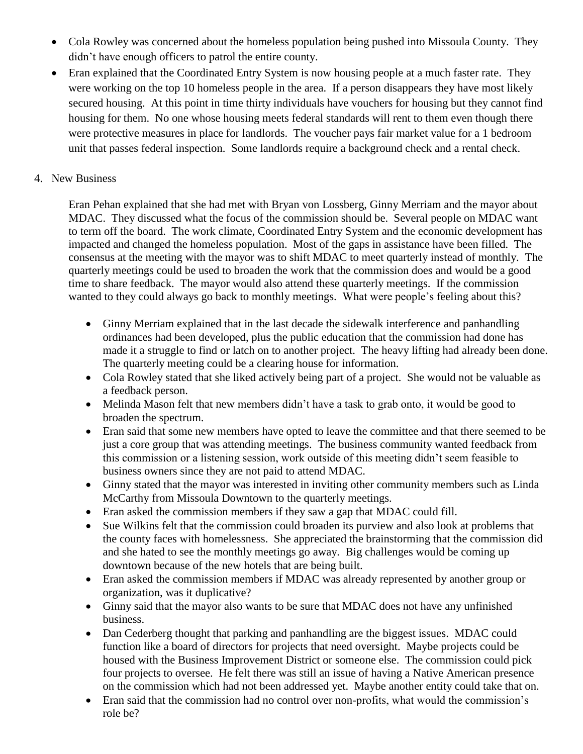- Cola Rowley was concerned about the homeless population being pushed into Missoula County. They didn't have enough officers to patrol the entire county.
- Eran explained that the Coordinated Entry System is now housing people at a much faster rate. They were working on the top 10 homeless people in the area. If a person disappears they have most likely secured housing. At this point in time thirty individuals have vouchers for housing but they cannot find housing for them. No one whose housing meets federal standards will rent to them even though there were protective measures in place for landlords. The voucher pays fair market value for a 1 bedroom unit that passes federal inspection. Some landlords require a background check and a rental check.
- 4. New Business

Eran Pehan explained that she had met with Bryan von Lossberg, Ginny Merriam and the mayor about MDAC. They discussed what the focus of the commission should be. Several people on MDAC want to term off the board. The work climate, Coordinated Entry System and the economic development has impacted and changed the homeless population. Most of the gaps in assistance have been filled. The consensus at the meeting with the mayor was to shift MDAC to meet quarterly instead of monthly. The quarterly meetings could be used to broaden the work that the commission does and would be a good time to share feedback. The mayor would also attend these quarterly meetings. If the commission wanted to they could always go back to monthly meetings. What were people's feeling about this?

- Ginny Merriam explained that in the last decade the sidewalk interference and panhandling ordinances had been developed, plus the public education that the commission had done has made it a struggle to find or latch on to another project. The heavy lifting had already been done. The quarterly meeting could be a clearing house for information.
- Cola Rowley stated that she liked actively being part of a project. She would not be valuable as a feedback person.
- Melinda Mason felt that new members didn't have a task to grab onto, it would be good to broaden the spectrum.
- Eran said that some new members have opted to leave the committee and that there seemed to be just a core group that was attending meetings. The business community wanted feedback from this commission or a listening session, work outside of this meeting didn't seem feasible to business owners since they are not paid to attend MDAC.
- Ginny stated that the mayor was interested in inviting other community members such as Linda McCarthy from Missoula Downtown to the quarterly meetings.
- Eran asked the commission members if they saw a gap that MDAC could fill.
- Sue Wilkins felt that the commission could broaden its purview and also look at problems that the county faces with homelessness. She appreciated the brainstorming that the commission did and she hated to see the monthly meetings go away. Big challenges would be coming up downtown because of the new hotels that are being built.
- Eran asked the commission members if MDAC was already represented by another group or organization, was it duplicative?
- Ginny said that the mayor also wants to be sure that MDAC does not have any unfinished business.
- Dan Cederberg thought that parking and panhandling are the biggest issues. MDAC could function like a board of directors for projects that need oversight. Maybe projects could be housed with the Business Improvement District or someone else. The commission could pick four projects to oversee. He felt there was still an issue of having a Native American presence on the commission which had not been addressed yet. Maybe another entity could take that on.
- Eran said that the commission had no control over non-profits, what would the commission's role be?